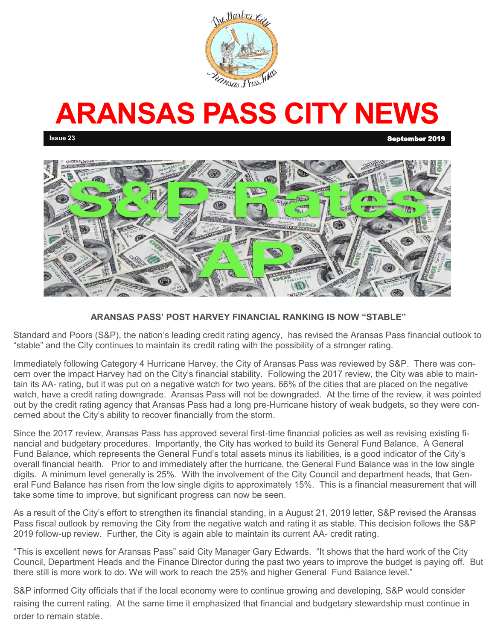

# **ARANSAS PASS CITY NEWS**

**Issue 23** September 2019



### **ARANSAS PASS' POST HARVEY FINANCIAL RANKING IS NOW "STABLE"**

Standard and Poors (S&P), the nation's leading credit rating agency, has revised the Aransas Pass financial outlook to "stable" and the City continues to maintain its credit rating with the possibility of a stronger rating.

Immediately following Category 4 Hurricane Harvey, the City of Aransas Pass was reviewed by S&P. There was concern over the impact Harvey had on the City's financial stability. Following the 2017 review, the City was able to maintain its AA- rating, but it was put on a negative watch for two years. 66% of the cities that are placed on the negative watch, have a credit rating downgrade. Aransas Pass will not be downgraded. At the time of the review, it was pointed out by the credit rating agency that Aransas Pass had a long pre-Hurricane history of weak budgets, so they were concerned about the City's ability to recover financially from the storm.

Since the 2017 review, Aransas Pass has approved several first-time financial policies as well as revising existing financial and budgetary procedures. Importantly, the City has worked to build its General Fund Balance. A General Fund Balance, which represents the General Fund's total assets minus its liabilities, is a good indicator of the City's overall financial health. Prior to and immediately after the hurricane, the General Fund Balance was in the low single digits. A minimum level generally is 25%. With the involvement of the City Council and department heads, that General Fund Balance has risen from the low single digits to approximately 15%. This is a financial measurement that will take some time to improve, but significant progress can now be seen.

As a result of the City's effort to strengthen its financial standing, in a August 21, 2019 letter, S&P revised the Aransas Pass fiscal outlook by removing the City from the negative watch and rating it as stable. This decision follows the S&P 2019 follow-up review. Further, the City is again able to maintain its current AA- credit rating.

"This is excellent news for Aransas Pass" said City Manager Gary Edwards. "It shows that the hard work of the City Council, Department Heads and the Finance Director during the past two years to improve the budget is paying off. But there still is more work to do. We will work to reach the 25% and higher General Fund Balance level."

S&P informed City officials that if the local economy were to continue growing and developing, S&P would consider raising the current rating. At the same time it emphasized that financial and budgetary stewardship must continue in order to remain stable.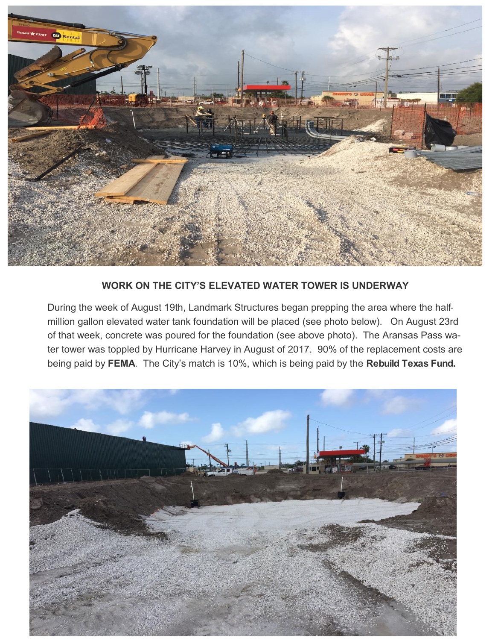

### **WORK ON THE CITY'S ELEVATED WATER TOWER IS UNDERWAY**

During the week of August 19th, Landmark Structures began prepping the area where the halfmillion gallon elevated water tank foundation will be placed (see photo below). On August 23rd of that week, concrete was poured for the foundation (see above photo). The Aransas Pass water tower was toppled by Hurricane Harvey in August of 2017. 90% of the replacement costs are being paid by **FEMA**. The City's match is 10%, which is being paid by the **Rebuild Texas Fund.**

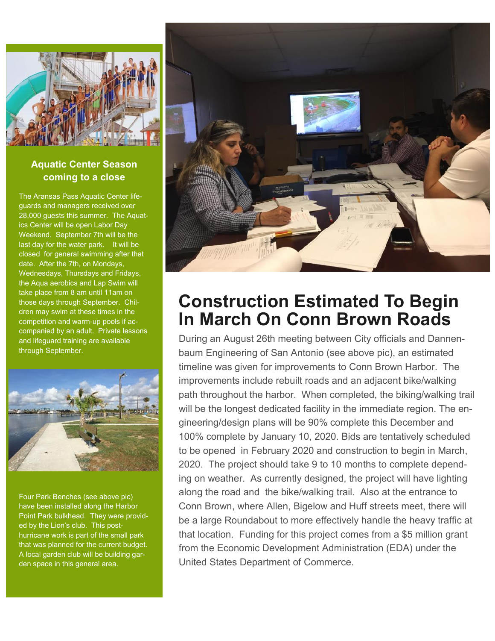

### **Aquatic Center Season coming to a close**

The Aransas Pass Aquatic Center lifeguards and managers received over 28,000 guests this summer. The Aquatics Center will be open Labor Day Weekend. September 7th will be the last day for the water park. It will be closed for general swimming after that date. After the 7th, on Mondays, Wednesdays, Thursdays and Fridays, the Aqua aerobics and Lap Swim will take place from 8 am until 11am on those days through September. Children may swim at these times in the competition and warm-up pools if accompanied by an adult. Private lessons and lifeguard training are available through September.



Four Park Benches (see above pic) have been installed along the Harbor Point Park bulkhead. They were provided by the Lion's club. This posthurricane work is part of the small park that was planned for the current budget. A local garden club will be building garden space in this general area.



## **Construction Estimated To Begin In March On Conn Brown Roads**

During an August 26th meeting between City officials and Dannenbaum Engineering of San Antonio (see above pic), an estimated timeline was given for improvements to Conn Brown Harbor. The improvements include rebuilt roads and an adjacent bike/walking path throughout the harbor. When completed, the biking/walking trail will be the longest dedicated facility in the immediate region. The engineering/design plans will be 90% complete this December and 100% complete by January 10, 2020. Bids are tentatively scheduled to be opened in February 2020 and construction to begin in March, 2020. The project should take 9 to 10 months to complete depending on weather. As currently designed, the project will have lighting along the road and the bike/walking trail. Also at the entrance to Conn Brown, where Allen, Bigelow and Huff streets meet, there will be a large Roundabout to more effectively handle the heavy traffic at that location. Funding for this project comes from a \$5 million grant from the Economic Development Administration (EDA) under the United States Department of Commerce.